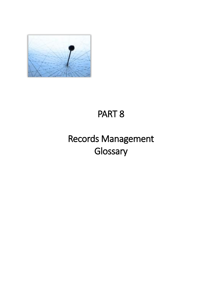

## PART 8

## Records Management **Glossary**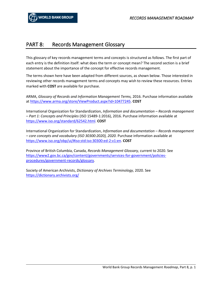## PART 8: Records Management Glossary

This glossary of key records management terms and concepts is structured as follows. The first part of each entry is the definition itself: what does the term or concept mean? The second section is a brief statement about the importance of the concept for effective records management.

The terms shown here have been adapted from different sources, as shown below. Those interested in reviewing other records management terms and concepts may wish to review these resources. Entries marked with **COST** are available for purchase.

ARMA, *Glossary of Records and Information Management Terms,* 2016. Purchase information available a[t https://www.arma.org/store/ViewProduct.aspx?id=10477245.](https://www.arma.org/store/ViewProduct.aspx?id=10477245) **COST**

International Organization for Standardization, *Information and documentation – Records management – Part 1: Concepts and Principles* (ISO 15489-1:2016), 2016. Purchase information available at [https://www.iso.org/standard/62542.html.](https://www.iso.org/standard/62542.html) **COST**

International Organization for Standardization, *Information and documentation – Records management – core concepts and vocabulary (ISO 30300:2020), 2020.* Purchase information available at [https://www.iso.org/obp/ui/#iso:std:iso:30300:ed-2:v1:en.](https://www.iso.org/obp/ui/#iso:std:iso:30300:ed-2:v1:en) **COST**

Province of British Columbia, Canada, *Records Management Glossary,* current to 2020. See [https://www2.gov.bc.ca/gov/content/governments/services-for-government/policies](https://www2.gov.bc.ca/gov/content/governments/services-for-government/policies-procedures/government-records/glossary)[procedures/government-records/glossary.](https://www2.gov.bc.ca/gov/content/governments/services-for-government/policies-procedures/government-records/glossary)

Society of American Archivists, *Dictionary of Archives Terminology,* 2020. See <https://dictionary.archivists.org/>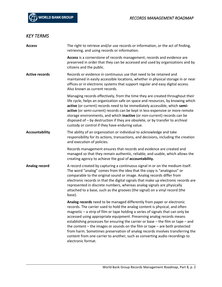## *KEY TERMS*

| <b>Access</b>         | The right to retrieve and/or use records or information, or the act of finding,<br>retrieving, and using records or information.                                                                                                                                                                                                                                                                                                                                                                                                                                                                                                                                               |
|-----------------------|--------------------------------------------------------------------------------------------------------------------------------------------------------------------------------------------------------------------------------------------------------------------------------------------------------------------------------------------------------------------------------------------------------------------------------------------------------------------------------------------------------------------------------------------------------------------------------------------------------------------------------------------------------------------------------|
|                       | Access is a cornerstone of records management; records and evidence are<br>preserved in order that they can be accessed and used by organizations and by<br>citizens and the public.                                                                                                                                                                                                                                                                                                                                                                                                                                                                                           |
| <b>Active records</b> | Records or evidence in continuous use that need to be retained and<br>maintained in easily accessible locations, whether in physical storage in or near<br>offices or in electronic systems that support regular and easy digital access.<br>Also known as current records.                                                                                                                                                                                                                                                                                                                                                                                                    |
|                       | Managing records effectively, from the time they are created throughout their<br>life cycle, helps an organization safe on space and resources, by knowing which<br>active (or current) records need to be immediately accessible, which semi-<br>active (or semi-current) records can be kept in less-expensive or more remote<br>storage environments, and which inactive (or non-current) records can be<br>disposed of - by destruction if they are obsolete, or by transfer to archival<br>custody or control if they have enduring value.                                                                                                                                |
| <b>Accountability</b> | The ability of an organization or individual to acknowledge and take<br>responsibility for its actions, transactions, and decisions, including the creation<br>and execution of policies.                                                                                                                                                                                                                                                                                                                                                                                                                                                                                      |
|                       | Records management ensures that records and evidence are created and<br>managed so that they remain authentic, reliable, and usable, which allows the<br>creating agency to achieve the goal of accountability.                                                                                                                                                                                                                                                                                                                                                                                                                                                                |
| Analog record         | A record created by capturing a continuous signal in or on the medium itself.<br>The word "analog" comes from the idea that the copy is "analogous" or<br>comparable to the original sound or image. Analog records differ from<br>electronic records in that the digital signals that make up electronic records are<br>represented in discrete numbers, whereas analog signals are physically<br>attached to a base, such as the grooves (the signal) on a vinyl record (the<br>base).                                                                                                                                                                                       |
|                       | Analog records need to be managed differently from paper or electronic<br>records. The carrier used to hold the analog content is physical, and often<br>magnetic - a strip of film or tape holding a series of signals that can only be<br>accessed using appropriate equipment. Preserving analog records means<br>establishing processes for ensuring the carrier or base - the film or tape - and<br>the content $-$ the images or sounds on the film or tape $-$ are both protected<br>from harm. Sometimes preservation of analog records involves transferring the<br>content from one carrier to another, such as converting audio recordings to<br>electronic format. |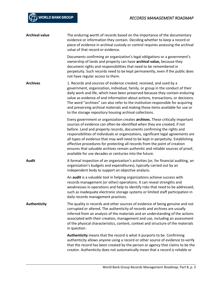| <b>Archival value</b> | The enduring worth of records based on the importance of the documentary<br>evidence or information they contain. Deciding whether to keep a record or<br>piece of evidence in archival custody or control requires assessing the archival<br>value of that record or evidence.                                                                                                                                                                                                                                                                                                                                                          |
|-----------------------|------------------------------------------------------------------------------------------------------------------------------------------------------------------------------------------------------------------------------------------------------------------------------------------------------------------------------------------------------------------------------------------------------------------------------------------------------------------------------------------------------------------------------------------------------------------------------------------------------------------------------------------|
|                       | Documents confirming an organization's legal obligations or a government's<br>ownership of lands and property can have archival value, because they<br>document rights and responsibilities that need to be remembered in<br>perpetuity. Such records need to be kept permanently, even if the public does<br>not have regular access to them.                                                                                                                                                                                                                                                                                           |
| <b>Archives</b>       | 1. Records and sources of evidence created, received, and used by a<br>government, organization, individual, family, or group in the conduct of their<br>daily work and life, which have been preserved because they contain enduring<br>value as evidence of and information about actions, transactions, or decisions.<br>The word "archives" can also refer to the institution responsible for acquiring<br>and preserving archival materials and making those items available for use or<br>to the storage repository housing archival collections.                                                                                  |
|                       | Every government or organization creates archives. These critically important<br>sources of evidence can often be identified when they are created, if not<br>before. Land and property records, documents confirming the rights and<br>responsibilities of individuals or organizations, significant legal agreements are<br>all types of evidence that may well need to be kept in perpetuity. Establishing<br>effective procedures for protecting all records from the point of creation<br>ensures that valuable archives remain authentic and reliable sources of proof,<br>available for use decades or centuries into the future. |
| <b>Audit</b>          | A formal inspection of an organization's activities (or, for financial auditing, an<br>organization's budgets and expenditures), typically carried out by an<br>independent body to support an objective analysis.                                                                                                                                                                                                                                                                                                                                                                                                                       |
|                       | An audit is a valuable tool in helping organizations achieve success with<br>records management (or other) operations. It can reveal strengths and<br>weaknesses in operations and help to identify risks that need to be addressed,<br>such as inadequate electronic storage systems or limited staff participation in<br>daily records management practices.                                                                                                                                                                                                                                                                           |
| <b>Authenticity</b>   | The quality in records and other sources of evidence of being genuine and not<br>corrupted or altered. The authenticity of records and archives are usually<br>inferred from an analysis of the materials and an understanding of the actions<br>associated with their creation, management and use, including an assessment<br>of the physical characteristics, content, context and structure of the materials<br>in question.                                                                                                                                                                                                         |
|                       | Authenticity means that the record is what it purports to be. Confirming<br>authenticity allows anyone using a record or other source of evidence to verify<br>that the record has been created by the person or agency that claims to be the<br>creator. Authenticity does not automatically mean that a record is reliable or                                                                                                                                                                                                                                                                                                          |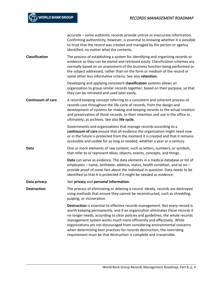|                          | accurate - some authentic records provide untrue or inaccurate information.<br>Confirming authenticity, however, is essential to knowing whether it is possible<br>to trust that the record was created and managed by the person or agency<br>identified, no matter what the contents.                                                                                                                                                                                                                                                                |
|--------------------------|--------------------------------------------------------------------------------------------------------------------------------------------------------------------------------------------------------------------------------------------------------------------------------------------------------------------------------------------------------------------------------------------------------------------------------------------------------------------------------------------------------------------------------------------------------|
| <b>Classification</b>    | The process of establishing a system for identifying and organizing records or<br>evidence so they can be stored and retrieved easily. Classification schemes are<br>normally based on an assessment of the business function being performed or<br>the subject addressed, rather than on the form or medium of the record or<br>some other less informative criteria. See also retention.                                                                                                                                                             |
|                          | Developing and applying consistent classification systems allows an<br>organization to group similar records together, based on their purpose, so that<br>they can be retrieved and used later easily.                                                                                                                                                                                                                                                                                                                                                 |
| <b>Continuum of care</b> | A record-keeping concept referring to a consistent and coherent process of<br>records care throughout the life cycle of records, from the design and<br>development of systems for making and keeping records to the actual creation<br>and preservation of those records, to their retention and use in the office or,<br>ultimately, as archives. See also life cycle.                                                                                                                                                                               |
|                          | Governments and organizations that manage records according to a<br>continuum of care ensure that all evidence the organization might need now<br>or in the future is protected from the moment it is created and that it remains<br>accessible and usable for as long as needed, whether a year or a century.                                                                                                                                                                                                                                         |
| Data                     | One or more elements of raw content, such as letters, numbers, or symbols,<br>that refer to or represent ideas, objects, events, concepts, and things.                                                                                                                                                                                                                                                                                                                                                                                                 |
|                          | Data can serve as evidence. The data elements in a medical database or list of<br>employees - name, birthdate, address, status, health condition, and so on -<br>provide proof of some fact about the individual in question. Data needs to be<br>identified so that it is protected if it might be needed as evidence.                                                                                                                                                                                                                                |
| Data privacy             | See privacy and personal information.                                                                                                                                                                                                                                                                                                                                                                                                                                                                                                                  |
| <b>Destruction</b>       | The process of eliminating or deleting a record. Ideally, records are destroyed<br>using methods that ensure they cannot be reconstructed, such as shredding,<br>pulping, or incineration.                                                                                                                                                                                                                                                                                                                                                             |
|                          | Destruction is essential to effective records management. Not every record is<br>worth keeping permanently, and if an organization eliminates those records it<br>no longer needs, according to clear policies and guidelines, the whole records<br>management system works much more efficiently and effectively. While<br>organizations are not discouraged from considering environmental concerns<br>when determining best practices for records destruction, the overriding<br>requirement must be that destruction is complete and irreversible. |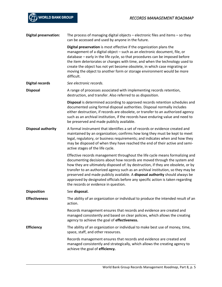| <b>Digital preservation:</b> | The process of managing digital objects $-$ electronic files and items $-$ so they<br>can be accessed and used by anyone in the future.                                                                                                                                                                                                                                                                                                                                                                                                    |
|------------------------------|--------------------------------------------------------------------------------------------------------------------------------------------------------------------------------------------------------------------------------------------------------------------------------------------------------------------------------------------------------------------------------------------------------------------------------------------------------------------------------------------------------------------------------------------|
|                              | Digital preservation is most effective if the organization plans the<br>management of a digital object - such as an electronic document, file, or<br>database - early in the life cycle, so that procedures can be imposed before<br>the item deteriorates or changes with time, and when the technology used to<br>create the object has not yet become obsolete, in which case migrating or<br>moving the object to another form or storage environment would be more<br>difficult.                                                      |
| <b>Digital records</b>       | See electronic records.                                                                                                                                                                                                                                                                                                                                                                                                                                                                                                                    |
| <b>Disposal</b>              | A range of processes associated with implementing records retention,<br>destruction, and transfer. Also referred to as disposition.                                                                                                                                                                                                                                                                                                                                                                                                        |
|                              | Disposal is determined according to approved records retention schedules and<br>documented using formal disposal authorities. Disposal normally includes<br>either destruction, if records are obsolete, or transfer to an authorized agency<br>such as an archival institution, if the records have enduring value and need to<br>be preserved and made publicly available.                                                                                                                                                               |
| <b>Disposal authority</b>    | A formal instrument that identifies a set of records or evidence created and<br>maintained by an organization; confirms how long they must be kept to meet<br>legal, regulatory, or business requirements; and indicates when and how they<br>may be disposed of when they have reached the end of their active and semi-<br>active stages of the life cycle.                                                                                                                                                                              |
|                              | Effective records management throughout the life cycle means formalizing and<br>documenting decisions about how records are moved through the system and<br>how they are ultimately disposed of: by destruction, if they are obsolete, or by<br>transfer to an authorized agency such as an archival institution, so they may be<br>preserved and made publicly available. A disposal authority should always be<br>approved by designated officials before any specific action is taken regarding<br>the records or evidence in question. |
| <b>Disposition</b>           | See disposal.                                                                                                                                                                                                                                                                                                                                                                                                                                                                                                                              |
| <b>Effectiveness</b>         | The ability of an organization or individual to produce the intended result of an<br>action.                                                                                                                                                                                                                                                                                                                                                                                                                                               |
|                              | Records management ensures that records and evidence are created and<br>managed consistently and based on clear policies, which allows the creating<br>agency to achieve the goal of effectiveness.                                                                                                                                                                                                                                                                                                                                        |
| <b>Efficiency</b>            | The ability of an organization or individual to make best use of money, time,<br>space, staff, and other resources.                                                                                                                                                                                                                                                                                                                                                                                                                        |
|                              | Records management ensures that records and evidence are created and<br>managed consistently and strategically, which allows the creating agency to<br>achieve the goal of efficiency.                                                                                                                                                                                                                                                                                                                                                     |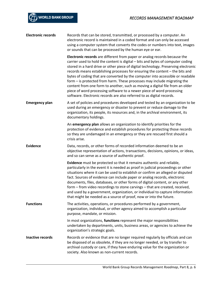| <b>Electronic records</b> | Records that can be stored, transmitted, or processed by a computer. An<br>electronic record is maintained in a coded format and can only be accessed<br>using a computer system that converts the codes or numbers into text, images<br>or sounds that can be processed by the human eye or ear.                                                                                                                                                                                                                                                                                                                                                                                                                                   |
|---------------------------|-------------------------------------------------------------------------------------------------------------------------------------------------------------------------------------------------------------------------------------------------------------------------------------------------------------------------------------------------------------------------------------------------------------------------------------------------------------------------------------------------------------------------------------------------------------------------------------------------------------------------------------------------------------------------------------------------------------------------------------|
|                           | Electronic records are different from paper or analog records because the<br>carrier used to hold the content is digital - bits and bytes of computer coding<br>stored in a hard drive or other piece of digital technology. Preserving electronic<br>records means establishing processes for ensuring the content - the bits and<br>bytes of coding that are converted by the computer into accessible or readable<br>form - is protected from harm. These processes may include migrating the<br>content from one form to another, such as moving a digital file from an older<br>piece of word processing software to a newer piece of word processing<br>software. Electronic records are also referred to as digital records. |
| <b>Emergency plan</b>     | A set of policies and procedures developed and tested by an organization to be<br>used during an emergency or disaster to prevent or reduce damage to the<br>organization, its people, its resources and, in the archival environment, its<br>documentary holdings.                                                                                                                                                                                                                                                                                                                                                                                                                                                                 |
|                           | An emergency plan allows an organization to identify priorities for the<br>protection of evidence and establish procedures for protecting those records<br>so they are undamaged in an emergency or they are rescued first should a<br>crisis arise.                                                                                                                                                                                                                                                                                                                                                                                                                                                                                |
| <b>Evidence</b>           | Data, records, or other forms of recorded information deemed to be an<br>objective representation of actions, transactions, decisions, opinions, or ideas,<br>and so can serve as a source of authentic proof.                                                                                                                                                                                                                                                                                                                                                                                                                                                                                                                      |
|                           | Evidence must be protected so that it remains authentic and reliable,<br>particularly in the event it is needed as proof in judicial proceedings or other<br>situations where it can be used to establish or confirm an alleged or disputed<br>fact. Sources of evidence can include paper or analog records, electronic<br>documents, files, databases, or other forms of digital content, or any other<br>form - from video recordings to stone carvings - that are created, received,<br>and used by a government, organization, or individual to capture information<br>that might be needed as a source of proof, now or into the future.                                                                                      |
| <b>Functions</b>          | The activities, operations, or procedures performed by a government,<br>organization, individual, or other agency aimed to accomplish a particular<br>purpose, mandate, or mission.                                                                                                                                                                                                                                                                                                                                                                                                                                                                                                                                                 |
|                           | In most organizations, functions represent the major responsibilities<br>undertaken by departments, units, business areas, or agencies to achieve the<br>organization's strategic goals.                                                                                                                                                                                                                                                                                                                                                                                                                                                                                                                                            |
| <b>Inactive records</b>   | Records or evidence that are no longer required regularly by officials and can<br>be disposed of as obsolete, if they are no longer needed, or by transfer to<br>archival custody or care, if they have enduring value for the organization or<br>society. Also known as non-current records.                                                                                                                                                                                                                                                                                                                                                                                                                                       |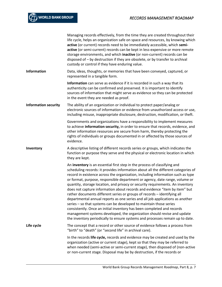|                             | Managing records effectively, from the time they are created throughout their<br>life cycle, helps an organization safe on space and resources, by knowing which<br>active (or current) records need to be immediately accessible, which semi-<br>active (or semi-current) records can be kept in less-expensive or more remote<br>storage environments, and which inactive (or non-current) records can be<br>disposed of - by destruction if they are obsolete, or by transfer to archival<br>custody or control if they have enduring value.                                                                                                                                                                                                                                                                                                                                                                                                                           |
|-----------------------------|---------------------------------------------------------------------------------------------------------------------------------------------------------------------------------------------------------------------------------------------------------------------------------------------------------------------------------------------------------------------------------------------------------------------------------------------------------------------------------------------------------------------------------------------------------------------------------------------------------------------------------------------------------------------------------------------------------------------------------------------------------------------------------------------------------------------------------------------------------------------------------------------------------------------------------------------------------------------------|
| <b>Information</b>          | Data, ideas, thoughts, or memories that have been conveyed, captured, or<br>represented in a tangible form.                                                                                                                                                                                                                                                                                                                                                                                                                                                                                                                                                                                                                                                                                                                                                                                                                                                               |
|                             | Information can serve as evidence if it is recorded in such a way that its<br>authenticity can be confirmed and preserved. It is important to identify<br>sources of information that might serve as evidence so they can be protected<br>in the event they are needed as proof.                                                                                                                                                                                                                                                                                                                                                                                                                                                                                                                                                                                                                                                                                          |
| <b>Information security</b> | The ability of an organization or individual to protect paper/analog or<br>electronic sources of information or evidence from unauthorized access or use,<br>including misuse, inappropriate disclosure, destruction, modification, or theft.                                                                                                                                                                                                                                                                                                                                                                                                                                                                                                                                                                                                                                                                                                                             |
|                             | Governments and organizations have a responsibility to implement measures<br>to achieve information security, in order to ensure that records, evidence, and<br>other information resources are secure from harm, thereby protecting the<br>rights of individuals or groups documented in or affected by those sources of<br>evidence.                                                                                                                                                                                                                                                                                                                                                                                                                                                                                                                                                                                                                                    |
| Inventory                   | A descriptive listing of different records series or groups, which indicates the<br>function or purpose they serve and the physical or electronic location in which<br>they are kept.                                                                                                                                                                                                                                                                                                                                                                                                                                                                                                                                                                                                                                                                                                                                                                                     |
|                             | An inventory is an essential first step in the process of classifying and<br>scheduling records: it provides information about all the different categories of<br>record in existence across the organization, including information such as type<br>or format, purpose, responsible department or agency, date range, volume or<br>quantity, storage location, and privacy or security requirements. An inventory<br>does not capture information about records and evidence "item by item" but<br>rather documents different series or groups of records - identifying all<br>departmental annual reports as one series and all job applications as another<br>series - so that systems can be developed to maintain those series<br>consistently. Once an initial inventory has been completed and records<br>management systems developed, the organization should revise and update<br>the inventory periodically to ensure systems and processes remain up to date. |
| Life cycle                  | The concept that a record or other source of evidence follows a process from<br>"birth" to "death" (or "second life" in archival care).                                                                                                                                                                                                                                                                                                                                                                                                                                                                                                                                                                                                                                                                                                                                                                                                                                   |
|                             | In the records life cycle, records and evidence may be created and used by the<br>organization (active or current stage), kept so that they may be referred to<br>when needed (semi-active or semi-current stage), then disposed of (non-active<br>or non-current stage. Disposal may be by destruction, if the records or                                                                                                                                                                                                                                                                                                                                                                                                                                                                                                                                                                                                                                                |
|                             |                                                                                                                                                                                                                                                                                                                                                                                                                                                                                                                                                                                                                                                                                                                                                                                                                                                                                                                                                                           |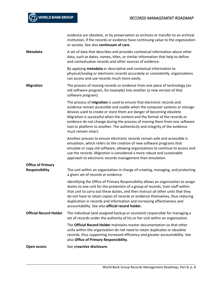|                                                   | evidence are obsolete, or by preservation as archives or transfer to an archival<br>institution, if the records or evidence have continuing value to the organization<br>or society. See also continuum of care.                                                                                                                                                                                                                                                                               |
|---------------------------------------------------|------------------------------------------------------------------------------------------------------------------------------------------------------------------------------------------------------------------------------------------------------------------------------------------------------------------------------------------------------------------------------------------------------------------------------------------------------------------------------------------------|
| Metadata                                          | A set of data that describes and provides contextual information about other<br>data, such as dates, names, titles, or similar information that help to define<br>and contextualize records and other sources of evidence.                                                                                                                                                                                                                                                                     |
|                                                   | By applying metadata or descriptive and contextual information to<br>physical/analog or electronic records accurately or consistently, organizations<br>can access and use records much more easily.                                                                                                                                                                                                                                                                                           |
| <b>Migration</b>                                  | The process of moving records or evidence from one piece of technology (an<br>old software program, for example) into another (a new version of that<br>software program).                                                                                                                                                                                                                                                                                                                     |
|                                                   | The process of migration is used to ensure that electronic records and<br>evidence remain accessible and usable when the computer systems or storage<br>devices used to create or store them are danger of becoming obsolete.<br>Migration is successful when the content and the format of the records or<br>evidence do not change during the process of moving them from one software<br>tool or platform to another. The authenticity and integrity of the evidence<br>must remain intact. |
|                                                   | Another process to ensure electronic records remain safe and accessible is<br>emulation, which refers to the creation of new software programs that<br>emulate or copy old software, allowing organizations to continue to access and<br>use the records. Migration is considered a more robust and sustainable<br>approach to electronic records management than emulation.                                                                                                                   |
| <b>Office of Primary</b><br><b>Responsibility</b> | The unit within an organization in charge of creating, managing, and protecting<br>a given set of records or evidence.                                                                                                                                                                                                                                                                                                                                                                         |
|                                                   | Identifying the Office of Primary Responsibility allows an organization to assign<br>duties to one unit for the protection of a group of records, train staff within<br>that unit to carry out these duties, and then instruct all other units that they<br>do not have to retain copies of records or evidence themselves, thus reducing<br>duplication in records and information and increasing effectiveness and<br>accountability. See also official record holder.                       |
| <b>Official Record Holder</b>                     | The individual (and assigned backup or assistant) responsible for managing a<br>set of records under the authority of his or her unit within an organization.                                                                                                                                                                                                                                                                                                                                  |
|                                                   | The Official Record Holder maintains master documentation so that other<br>units within the organization do not need to retain duplicates or obsolete<br>records, thus supporting increased efficiency and greater accountability. See<br>also Office of Primary Responsibility.                                                                                                                                                                                                               |
| Open access                                       | See proactive disclosure.                                                                                                                                                                                                                                                                                                                                                                                                                                                                      |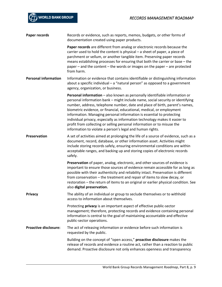| Paper records                | Records or evidence, such as reports, memos, budgets, or other forms of<br>documentation created using paper products.                                                                                                                                                                                                                                                                                                                                                                                                                                                                                                |
|------------------------------|-----------------------------------------------------------------------------------------------------------------------------------------------------------------------------------------------------------------------------------------------------------------------------------------------------------------------------------------------------------------------------------------------------------------------------------------------------------------------------------------------------------------------------------------------------------------------------------------------------------------------|
|                              | Paper records are different from analog or electronic records because the<br>carrier used to hold the content is physical - a sheet of paper, a piece of<br>parchment or vellum, or another tangible item. Preserving paper records<br>means establishing processes for ensuring that both the carrier or base - the<br>paper - and the content - the words or images on the paper - are protected<br>from harm.                                                                                                                                                                                                      |
| <b>Personal information</b>  | Information or evidence that contains identifiable or distinguishing information<br>about a specific individual - a "natural person" as opposed to a government<br>agency, organization, or business.                                                                                                                                                                                                                                                                                                                                                                                                                 |
|                              | Personal information - also known as personally identifiable information or<br>personal information bank - might include name, social security or identifying<br>number, address, telephone number, date and place of birth, parent's names,<br>biometric evidence, or financial, educational, medical, or employment<br>information. Managing personal information is essential to protecting<br>individual privacy, especially as information technology makes it easier to<br>profit from collecting or selling personal information or to misuse the<br>information to violate a person's legal and human rights. |
| Preservation                 | A set of activities aimed at prolonging the life of a source of evidence, such as a<br>document, record, database, or other information asset. Activities might<br>include storing records safely, ensuring environmental conditions are within<br>acceptable ranges, and backing up and storing copies of electronic records<br>safely.                                                                                                                                                                                                                                                                              |
|                              | Preservation of paper, analog, electronic, and other sources of evidence is<br>important to ensure those sources of evidence remain accessible for as long as<br>possible with their authenticity and reliability intact. Preservation is different<br>from conservation - the treatment and repair of items to slow decay, or<br>restoration - the return of items to an original or earlier physical condition. See<br>also digital preservation.                                                                                                                                                                   |
| Privacy                      | The ability of an individual or group to seclude themselves or to withhold<br>access to information about themselves.                                                                                                                                                                                                                                                                                                                                                                                                                                                                                                 |
|                              | Protecting privacy is an important aspect of effective public-sector<br>management; therefore, protecting records and evidence containing personal<br>information is central to the goal of maintaining accountable and effective<br>public-sector operations.                                                                                                                                                                                                                                                                                                                                                        |
| <b>Proactive disclosure:</b> | The act of releasing information or evidence before such information is<br>requested by the public.                                                                                                                                                                                                                                                                                                                                                                                                                                                                                                                   |
|                              | Building on the concept of "open access," proactive disclosure makes the<br>release of records and evidence a routine act, rather than a reaction to public<br>demand. Proactive disclosure not only enhances openness and transparency                                                                                                                                                                                                                                                                                                                                                                               |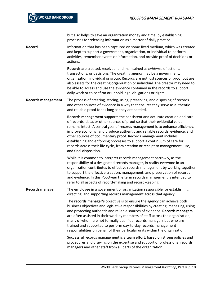|                           | but also helps to save an organization money and time, by establishing<br>processes for releasing information as a matter of daily practice.                                                                                                                                                                                                                                                                                                                                                                                                                                     |
|---------------------------|----------------------------------------------------------------------------------------------------------------------------------------------------------------------------------------------------------------------------------------------------------------------------------------------------------------------------------------------------------------------------------------------------------------------------------------------------------------------------------------------------------------------------------------------------------------------------------|
| Record                    | Information that has been captured on some fixed medium, which was created<br>and kept to support a government, organization, or individual to perform<br>activities, remember events or information, and provide proof of decisions or<br>actions.                                                                                                                                                                                                                                                                                                                              |
|                           | Records are created, received, and maintained as evidence of actions,<br>transactions, or decisions. The creating agency may be a government,<br>organization, individual or group. Records are not just sources of proof but are<br>also assets for the creating organization or individual. The creator may need to<br>be able to access and use the evidence contained in the records to support<br>daily work or to confirm or uphold legal obligations or rights.                                                                                                           |
| <b>Records management</b> | The process of creating, storing, using, preserving, and disposing of records<br>and other sources of evidence in a way that ensures they serve as authentic<br>and reliable proof for as long as they are needed.                                                                                                                                                                                                                                                                                                                                                               |
|                           | Records management supports the consistent and accurate creation and care<br>of records, data, or other sources of proof so that their evidential value<br>remains intact. A central goal of records management is to enhance efficiency,<br>improve economy, and produce authentic and reliable records, evidence, and<br>other sources of documentary proof. Records management includes<br>establishing and enforcing processes to support a continuum of care for<br>records across their life cycle, from creation or receipt to management, use,<br>and final disposition. |
|                           | While it is common to interpret records management narrowly, as the<br>responsibility of a designated records manager, in reality everyone in an<br>organization contributes to effective records management by working together<br>to support the effective creation, management, and preservation of records<br>and evidence. In this Roadmap the term records management is intended to<br>refer to all aspects of record-making and record-keeping.                                                                                                                          |
| <b>Records manager</b>    | The employee in a government or organization responsible for establishing,<br>directing, and supporting records management across that agency.                                                                                                                                                                                                                                                                                                                                                                                                                                   |
|                           | The records manager's objective is to ensure the agency can achieve both<br>business objectives and legislative responsibilities by creating, managing, using,<br>and protecting authentic and reliable sources of evidence. Records managers<br>are often assisted in their work by members of staff across the organization,<br>many of whom are not formally qualified records managers but who are<br>trained and supported to perform day-to-day records management<br>responsibilities on behalf of their particular units within the organization.                        |
|                           | Successful records management is a team effort, based on strong policies and<br>procedures and drawing on the expertise and support of professional records<br>managers and other staff from all parts of the organization.                                                                                                                                                                                                                                                                                                                                                      |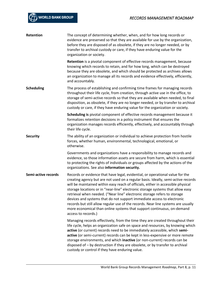| Retention           | The concept of determining whether, when, and for how long records or<br>evidence are preserved so that they are available for use by the organization,<br>before they are disposed of as obsolete, if they are no longer needed, or by<br>transfer to archival custody or care, if they have enduring value for the<br>organization or society.                                                                                                                                                                                                                                                                                                                                     |
|---------------------|--------------------------------------------------------------------------------------------------------------------------------------------------------------------------------------------------------------------------------------------------------------------------------------------------------------------------------------------------------------------------------------------------------------------------------------------------------------------------------------------------------------------------------------------------------------------------------------------------------------------------------------------------------------------------------------|
|                     | Retention is a pivotal component of effective records management, because<br>knowing which records to retain, and for how long, which can be destroyed<br>because they are obsolete, and which should be protected as archives allows<br>an organization to manage all its records and evidence effectively, efficiently,<br>and accountably.                                                                                                                                                                                                                                                                                                                                        |
| <b>Scheduling</b>   | The process of establishing and confirming time frames for managing records<br>throughout their life cycle, from creation, through active use in the office, to<br>storage of semi-active records so that they are available when needed, to final<br>disposition, as obsolete, if they are no longer needed, or by transfer to archival<br>custody or care, if they have enduring value for the organization or society.                                                                                                                                                                                                                                                            |
|                     | Scheduling is pivotal component of effective records management because it<br>formalizes retention decisions in a policy instrument that ensures the<br>organization manages records efficiently, effectively, and accountably through<br>their life cycle.                                                                                                                                                                                                                                                                                                                                                                                                                          |
| <b>Security</b>     | The ability of an organization or individual to achieve protection from hostile<br>forces, whether human, environmental, technological, emotional, or<br>otherwise.                                                                                                                                                                                                                                                                                                                                                                                                                                                                                                                  |
|                     | Governments and organizations have a responsibility to manage records and<br>evidence, so those information assets are secure from harm, which is essential<br>to protecting the rights of individuals or groups affected by the actions of the<br>organizations. See also information security.                                                                                                                                                                                                                                                                                                                                                                                     |
| Semi-active records | Records or evidence that have legal, evidential, or operational value for the<br>creating agency but are not used on a regular basis. Ideally, semi-active records<br>will be maintained within easy reach of officials, either in accessible physical<br>storage locations or in "near-line" electronic storage systems that allow easy<br>retrieval when needed. ("Near line" electronic storage refers to storage<br>devices and systems that do not support immediate access to electronic<br>records but still allow regular use of the records. Near line systems are usually<br>more economical than online systems that support continuous, on-demand<br>access to records.) |
|                     | Managing records effectively, from the time they are created throughout their<br>life cycle, helps an organization safe on space and resources, by knowing which<br>active (or current) records need to be immediately accessible, which semi-<br>active (or semi-current) records can be kept in less-expensive or more remote<br>storage environments, and which inactive (or non-current) records can be<br>disposed of - by destruction if they are obsolete, or by transfer to archival<br>custody or control if they have enduring value.                                                                                                                                      |